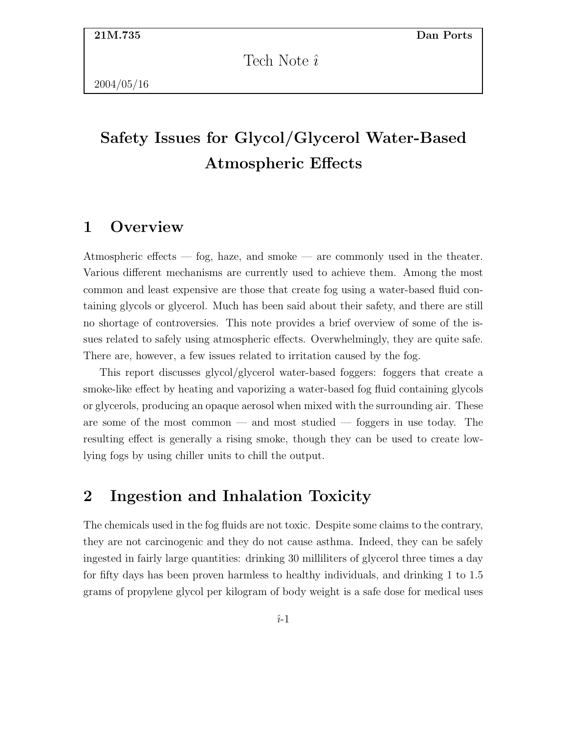Tech Note  $\hat{i}$ 

# Safety Issues for Glycol/Glycerol Water-Based Atmospheric Effects

#### 1 Overview

Atmospheric effects — fog, haze, and smoke — are commonly used in the theater. Various different mechanisms are currently used to achieve them. Among the most common and least expensive are those that create fog using a water-based fluid containing glycols or glycerol. Much has been said about their safety, and there are still no shortage of controversies. This note provides a brief overview of some of the issues related to safely using atmospheric effects. Overwhelmingly, they are quite safe. There are, however, a few issues related to irritation caused by the fog.

This report discusses glycol/glycerol water-based foggers: foggers that create a smoke-like effect by heating and vaporizing a water-based fog fluid containing glycols or glycerols, producing an opaque aerosol when mixed with the surrounding air. These are some of the most common — and most studied — foggers in use today. The resulting effect is generally a rising smoke, though they can be used to create lowlying fogs by using chiller units to chill the output.

## 2 Ingestion and Inhalation Toxicity

The chemicals used in the fog fluids are not toxic. Despite some claims to the contrary, they are not carcinogenic and they do not cause asthma. Indeed, they can be safely ingested in fairly large quantities: drinking 30 milliliters of glycerol three times a day for fifty days has been proven harmless to healthy individuals, and drinking 1 to 1.5 grams of propylene glycol per kilogram of body weight is a safe dose for medical uses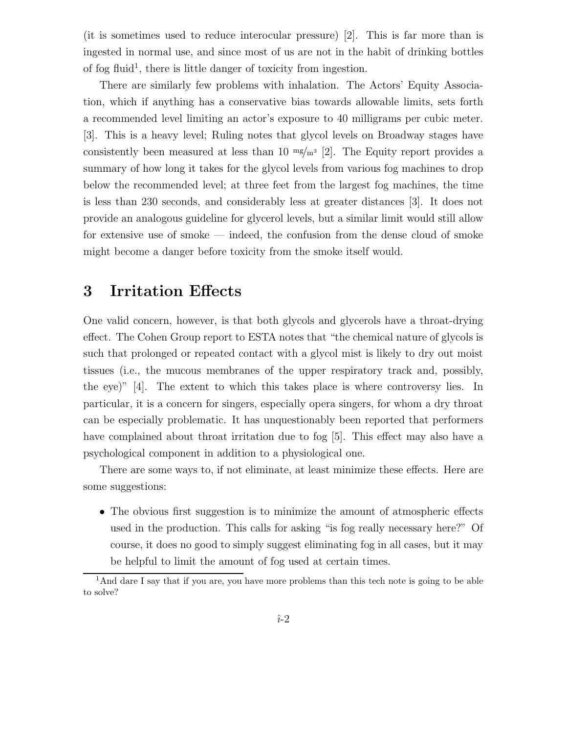(it is sometimes used to reduce interocular pressure) [2]. This is far more than is ingested in normal use, and since most of us are not in the habit of drinking bottles of fog fluid<sup>1</sup>, there is little danger of toxicity from ingestion.

There are similarly few problems with inhalation. The Actors' Equity Association, which if anything has a conservative bias towards allowable limits, sets forth a recommended level limiting an actor's exposure to 40 milligrams per cubic meter. [3]. This is a heavy level; Ruling notes that glycol levels on Broadway stages have consistently been measured at less than 10  $mg/m^3$  [2]. The Equity report provides a summary of how long it takes for the glycol levels from various fog machines to drop below the recommended level; at three feet from the largest fog machines, the time is less than 230 seconds, and considerably less at greater distances [3]. It does not provide an analogous guideline for glycerol levels, but a similar limit would still allow for extensive use of smoke — indeed, the confusion from the dense cloud of smoke might become a danger before toxicity from the smoke itself would.

## 3 Irritation Effects

One valid concern, however, is that both glycols and glycerols have a throat-drying effect. The Cohen Group report to ESTA notes that "the chemical nature of glycols is such that prolonged or repeated contact with a glycol mist is likely to dry out moist tissues (i.e., the mucous membranes of the upper respiratory track and, possibly, the eye)" [4]. The extent to which this takes place is where controversy lies. In particular, it is a concern for singers, especially opera singers, for whom a dry throat can be especially problematic. It has unquestionably been reported that performers have complained about throat irritation due to fog [5]. This effect may also have a psychological component in addition to a physiological one.

There are some ways to, if not eliminate, at least minimize these effects. Here are some suggestions:

• The obvious first suggestion is to minimize the amount of atmospheric effects used in the production. This calls for asking "is fog really necessary here?" Of course, it does no good to simply suggest eliminating fog in all cases, but it may be helpful to limit the amount of fog used at certain times.

<sup>&</sup>lt;sup>1</sup>And dare I say that if you are, you have more problems than this tech note is going to be able to solve?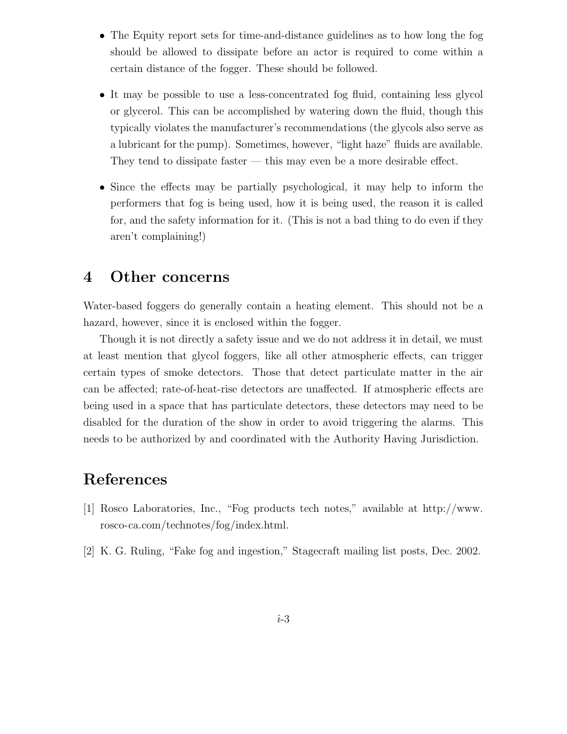- The Equity report sets for time-and-distance guidelines as to how long the fog should be allowed to dissipate before an actor is required to come within a certain distance of the fogger. These should be followed.
- It may be possible to use a less-concentrated fog fluid, containing less glycol or glycerol. This can be accomplished by watering down the fluid, though this typically violates the manufacturer's recommendations (the glycols also serve as a lubricant for the pump). Sometimes, however, "light haze" fluids are available. They tend to dissipate faster — this may even be a more desirable effect.
- Since the effects may be partially psychological, it may help to inform the performers that fog is being used, how it is being used, the reason it is called for, and the safety information for it. (This is not a bad thing to do even if they aren't complaining!)

#### 4 Other concerns

Water-based foggers do generally contain a heating element. This should not be a hazard, however, since it is enclosed within the fogger.

Though it is not directly a safety issue and we do not address it in detail, we must at least mention that glycol foggers, like all other atmospheric effects, can trigger certain types of smoke detectors. Those that detect particulate matter in the air can be affected; rate-of-heat-rise detectors are unaffected. If atmospheric effects are being used in a space that has particulate detectors, these detectors may need to be disabled for the duration of the show in order to avoid triggering the alarms. This needs to be authorized by and coordinated with the Authority Having Jurisdiction.

#### References

- [1] Rosco Laboratories, Inc., "Fog products tech notes," available at http://www. rosco-ca.com/technotes/fog/index.html.
- [2] K. G. Ruling, "Fake fog and ingestion," Stagecraft mailing list posts, Dec. 2002.